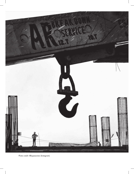

Photo credit: @bypassview (Instagram)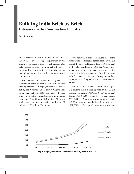# **Building India Brick by Brick Labourers in the Construction Industry**

*Ravi Srivastava*

The construction sector is one of the most important sources of wage employment in the country. For reasons that we will discuss later, data sources on employment reveal only part of the story. But they point to very important trends in employment in this sector in relation to overall employment.

The figures for employment growth in construction are impressive. Results estimated from the Employment & Unemployment Surveys carried out by the National Sample Survey Organisation reveal that between 1983 and 2011–12, male employment in the construction industry increased from about 5.8 million to 42.3 million (7.2 times), while female employment also increased from 1.02 million to 7.58 million (7.4 times).

With nearly 50 million workers, the share of the construction workforce increased from only 3.2 per cent of the total workforce in 1983 to 10.6 per cent of the total workforce in 2011–12. Among nonagricultural workers, the share of workers in the construction industry increased from 7.2 per cent to 20.3 per cent. i.e., one out of every five workers employed out of agriculture was a construction worker.

Till 2011–12, the sector's employment grew at a blistering and increasing pace: from 5.62 per cent per year during 1983/1993–94 to 7.20 per cent during 1993–94/2004–5 and 9.81 per cent during 2004–5/2011–12, showing an average rate of growth of 7.52 per cent over nearly three decades between 1982/2011–12. This rate of employment growth was



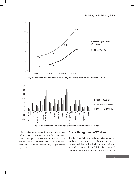

**Fig. 2: Share of Construction Workers among the Non-agricultural and Total Workers (%)**



**Fig. 3: Annual Growth Rate of Employment across Major Industry Groups**

only matched or exceeded by the sector's partner industry, viz., real estate, in which employment grew at 9.38 per cent over the same three-decade period. But the real estate sector's share in total employment is much smaller: only 1.7 per cent in 2011–12.

### **Social Background of Workers**

The data from field studies shows that construction workers come from all religious and social backgrounds but with a higher representation of Scheduled Castes and Scheduled Tribes compared to their share in the population. This is also borne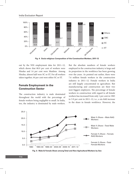

**Fig. 4: Socio-religious Composition of the Construction Workers, 2011-12**

out by the NSS employment data for 2011–12, which shows that 80.9 per cent of workers were Hindus and 14 per cent were Muslims. Among Hindus, almost half were SC or ST. For all workers taken together, 44 per cent were either SC or ST.

# **Female Employment in the Construction Sector**

The construction industry is male dominated throughout the world with the percentage of female workers being negligible to small. In India, too, the industry is dominated by male workers.

But the absolute numbers of female workers employed in the construction industry is large and its proportion in the workforce has been growing over the years. As pointed out earlier, there were 7.6 million female workers in the construction industry in 2011–12. Female workers in India are still largely concentrated in agriculture. But manufacturing and construction are their two next biggest employers. The percentage of female workers in construction with regard to all female workers has increased from only 1 per cent in 1983 to 5.9 per cent in 2011–12, i.e., a six-fold increase in the share in female workforce. However, the



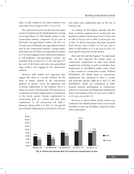share of male workers in the male workforce was more than twice as large in 2011–12 (12.3 %).

The construction sector has also been the major avenue of employment for female labourers moving out of agriculture. In 1983, female workers in the construction industry comprised 5.8 per cent of all female non-agricultural workers. By 2011–12, 15.6 per cent of all female non-agricultural workers were in the construction industry. Among males, more than one out of five non-agricultural workers (21.5 %) were engaged in the construction industry. If self-employed non-agricultural workers are excluded, then as much as 27.2 per cent and 35.3 per cent of all female and male non-agricultural wage workers were engaged in the construction industry.

However, field studies and long-term data suggest that there is a secular tendency for the share of female workers in the construction industry to decline. Given the important role of female employment in this industry, this is a matter of concern. Paradoxically, NSS data show an acceleration of female employment in construction in the recent period. Female employment in construction grew at a slower rate than male employment in all sub-periods till 2004–5. However, during 2004–5 to 2011–12, the growth rate of female employment accelerated to 16.02 per

cent while male employment grew at the rate of 8.94 per cent.

An analysis of NSS figures indicates that the share of female employment in construction has declined secularly in urban areas: from 13.8 per cent in 1983 to 9.9 per cent in 2004–5 and 8.4 per cent in 2011–12. But in rural areas, this share increased from 10.6 per cent in 2004–5 to 16.7 per cent in 2009–10 and further to 17.5 per cent in 2011–12, reversing the long-term secular decline.

How and why did this happen? To understand this, we have depicted the female share in construction employment to total rural female employment, including, as well as excluding, their employment in MGNREGA public works which is also counted as construction activity. Without MGNREGA, the female share in construction employment has continued to show a secular and systematic decline, right up to 2011–12. But MGNREGA, which was introduced in 2005, boosted women's participation in construction activity in rural areas, increasing their employment share in the industry from 10.3 per cent in 2004–5 to 15.2 per cent in 2011–12.

However, as shown below, female workers are confined to less skilled manual work, and are much less likely to move up the ladder compared to their male counterparts.



**Fig. 6: Period-wise Growth Rate of Construction Employment, by Sex**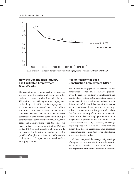

**Fig. 7: Share of Females in Construction Industry Employment – with and without MGNREGA**

# **How the Construction Industry has Facilitated Employment Diversification**

The expanding construction sector has absorbed workers from the agricultural sector and other declining or slow growing industries. Between 1993–94 and 2011–12, agricultural employment declined by 12.8 million while employment in all other sectors increased by 111.8 million, amounting to a net increase of 99 million employed persons. Out of this net increase, construction employment contributed 38.2 per cent (real estate contributed another 7.1 %), while Trade and Manufacturing were the other two major industry segments contributing 19.5 per cent and 18.4 per cent respectively. In other words, the construction industry emerged as the leading provider of employment since the 1990s, and the leading source of employment to rural workers exiting agriculture.

# **Pull or Push: What does Construction Employment Offer?**

The increasing engagement of workers in the construction sector raises another question: given the reduced possibility of employment and livelihoods of workers in the agricultural sector, is employment in the construction industry purely distress driven? This is a difficult question to answer as the conditions of employment in this huge industry are not uniform. But past studies show that despite uncertainty of employment, workers in the sector are able to find employment for durations longer than is possible in the agricultural sector (Srivastava and Jha, 2016). Moreover, on average, wages reported by workers in construction are higher than those in agriculture. Thus compared to agriculture, the construction sector offers higher average earnings to workers.

We have compared the average daily earnings of wage workers across major industry divisions in Table 1 in two periods, viz., 2004–5 and 2011–12. The wages/earnings reported here cannot take into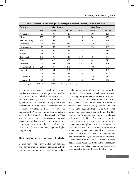| Table 1: Average Daily Earnings across Major Industries (Rs/day), 2004–5 and 2011–12 |              |        |         |              |        |         |
|--------------------------------------------------------------------------------------|--------------|--------|---------|--------------|--------|---------|
| Industry                                                                             | NSS 61 Round |        |         | NSS 68 Round |        |         |
|                                                                                      | Male         | Female | Persons | Male         | Female | Persons |
| Agriculture                                                                          | 51           | 35     | 45      | 136          | 100    | 124     |
| Mining                                                                               | 187          | 60     | 169     | 495          | 201    | 458     |
| Manufacturing                                                                        | 120          | 53     | 110     | 279          | 141    | 259     |
| Electricity                                                                          | 290          | 207    | 286     | 588          | 740    | 600     |
| Construction                                                                         | 79           | 55     | 76      | 191          | 130    | 183     |
| Trade                                                                                | 88           | 83     | 88      | 214          | 175    | 211     |
| Hotels                                                                               | 99           | 90     | 99      | 243          | 181    | 237     |
| Transport                                                                            | 147          | 196    | 149     | 327          | 406    | 330     |
| Finance                                                                              | 385          | 310    | 373     | 729          | 649    | 716     |
| Real estate                                                                          | 243          | 263    | 246     | 595          | 671    | 608     |
| Administration                                                                       | 258          | 199    | 251     | 616          | 469    | 598     |
| Education                                                                            | 247          | 164    | 213     | 564          | 382    | 486     |
| Health                                                                               | 209          | 163    | 189     | 533          | 339    | 440     |
| Community                                                                            | 99           | 61     | 93      | 265          | 130    | 212     |
| Household                                                                            | 77           | 41     | 52      | 188          | 97     | 127     |

Source: Computed from NSS 61<sup>st</sup> Round and 66<sup>th</sup> Round, Employment-Unemployment Surveys.

account work intensity, i.e., total hours worked per day. The lowest daily earnings are reported for agricultural labourers in both 2004–5 and 2011–12. This is followed by earnings of workers engaged by households. The third lowest wages are in the construction industry, both for male and female labourers. Nevertheless, these wages were 69 per cent and 49 per cent higher than agricultural wages in 2004–5 and 2011–12, respectively. Wage workers engaged in the construction industry would conceivably draw higher incomes than their counterparts who work only in agriculture, both on account of more employment days, and higher daily earnings.

### **Has the Construction Boom Ended?**

Construction sector activity is affected by upswings and downswings in general economic activity, patterns and trends in investment, particularly public investment in infrastructure, and by sudden shocks to the economy which slow it down. Following the global economic crisis of 2008–9, construction activity slowed down dramatically but it revived following the economic stimulus package. The evidence on growth in GDP for recent years suggests that construction sector activity has been very weak. Although the NSS Employment-Unemployment Survey results are only available till 2011–12, a comparison of the NSS results with the most recent round of the employment-unemployment survey carried out by the Labour Bureau shows that construction sector employment growth has petered out. Between 2011–12 and 2015–16, construction employment was almost stationary, at about 50 million workers. Demonetisation in November 2016 led to a sharp decline in construction activity and the subsequent tardy revival has taken place in the context of a long-term slowdown in the growth of the sector.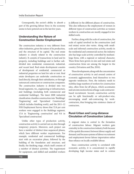Consequently, the sector's ability to absorb a part of the growing labour force in the economy seems to have petered out in the last few years.

# **Understanding the Nature of Construction Sector Employment**

The construction industry is very different from other industries, given the nature of its production, and the structure of its capital. The real estate industry is closely related to the construction industry. It consists of transactions in land and its property, including buildings and is further subdivided into residential, commercial, industrial, and vacant land. Real estate development consists of development of residential, commercial or industrial properties on land for sale or rent. Real estate developers can undertake construction on land directly, through their subsidiaries, or through outsourced contractors or construction companies. The construction industry is divided into two broad segments, viz., engineering or infrastructure, and buildings (including both commercial and residential buildings). The latest 2008 industrial classification classifies construction into 'Buildings', 'Engineering' and 'Specialised Construction' (which includes finishing work), and the 2011–12 NSS Employment Survey shows that 72.8 per cent workers were engaged in the Buildings segment, 17.6 in 'Engineering construction' and 9.6 in 'Specialised construction'.

Unlike other types of production activity, construction activity is carried out on sites through temporary projects. Moreover, each project can have a number of distinct time-sequenced phases, which have different worker requirements. For example, residential and commercial buildings, start with an excavation phase, followed by the building of the foundation and structure, and finally, the finishing stage, which itself consists of a number of distinct activities. The requirement for equipment, and skilled and unskilled workers

is different in the different phases of construction. This also influences the employment of women in different types of construction activities as women workers in construction are mostly engaged in low skilled work.

Further, along with the scale of construction, the scale of capital involved in the construction (and real estate) sector also varies. Along with smallscale and informal construction activity, mostly in the residential and commercial sector, the industry also has large-scale activity controlled by mediumlarge firms, with a regional or national character. These firms have grown in size and real-estate and construction firms are among the largest in the country (Srivastava and Jha, 2016).

These developments, along with the concentration of construction activity in and around centres of economic agglomeration, lend themselves to two opposite tendencies. First, the industry needs to mobilise large numbers of workers for construction sites, often from far-off places, which accentuates and sets into motion forms of large-scale contractorbased recruitment. Second, construction activity can be split functionally or sub-product-wise, encouraging small sub-contracting by workcontractors, thus bringing into existence chains of contractors.

### **Rural-Urban and Long-distance Circulation of Construction Labour**

A migrant status is central to the formation of construction labour. Migrant workers gain centrality in the construction industry both because of the spatial disconnect between labour supply and demand, and because systems of labour recruitment and employment favour labour importation rather than reliance on locally available labour.

Since construction activity is correlated with economic activity, it is concentrated in rapidly developing high income states and in centres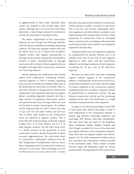of agglomeration in these states. Spatially, these centres are situated in and around large urban centres, although they cut across this rural-urban dichotomy. A much larger amount of construction activity also takes place in developed states.

The labour requirements of the construction industry are met through the following channels: (a) local urban or rural labour (including commuting workers); (b) long-term migrant workers who join the labour force in (a); (c) short-term circulatory migrant workers who migrate autonomously or through social networks and operate in local labour markets at labour *chaurahas/nakas* or through contractors; (d) circulatory labour migrants who are brought in through labour contractors, sometimes over very long distances.

Strictly speaking, the employment data should capture local employment, commuting workers, seasonal migrants, as well as workers migrating from one area to another, providing workers stay at the destination for more than six months. This is a tall order, and there is strong reason to believe that employment (and migration) data does not capture labour circulation/migration properly and that a large number of migrating construction workers are reported in their areas of origin which are rural and located in poorer states/regions. An analysis of NSS migration data for 2007–8 shows that only 7.6 per cent of rural male workers and 26.9 per cent of urban male workers in the construction sector are reported as migrant workers. This is lower than the total percentage of all male migrant workers (20.1 % of rural workers and 35.3 % of male migrant workers). On the other hand, there is a steady increase in the proportion of rural construction workers, despite the growth of urban economic agglomerations. The rural-urban share of construction employment analysed from the NSS Employment-Unemployment Surveys shows that a rising proportion of construction workers are reported in rural areas. Their percentage was 58.9 in 1983 and rose to 72.3 per cent in 2011–12. Does

this mean that almost three-fourths of construction activity, private or public, is located in rural areas? This is not the case because commuting, shortterm migration, and other labour circulation is not captured properly by location data. Overall, a rising proportion of construction work in developed states is carried out by circulating workers from the rural areas in poorer states, which is not adequately captured by location data.

Estimates of short-term out-migration (migration for employments for periods between two to six months) show that 45 per cent of such migrants migrated to other states, and the construction industry was the largest employer of such migrants, accounting for 36 per cent of all short-term migrants.

But there are many more inter-state circulating migrant workers engaged in the construction industry. Assuming that construction activity has a similar labour intensity across states, the percentage of workers employed in the construction industry (including long-term circulatory migrants) should be proportional to construction activity. The gap between construction activity and the percentage employed at the state level should give us a rough estimate of unreported inter-state migration.

In Figure 8, we show the percentage of total SDP of each major state, and the percentage of state to total employment in the construction industry. A positive gap between percentage employed and percentage SDP denotes inter-state outmigration. The data shows that the states of UP, Rajasthan, Bihar, Jharkhand, Odisha, Madhya Pradesh and West Bengal accounted for most of the inter-state out-migrant labourers in the construction industry. These inter-state out-migrant workers were about a quarter (23.3 %) of all construction workers and are over and above the construction workers recorded in the destination states. These workers circulate between origin and destination states for various periods of time. The rapid growth of the construction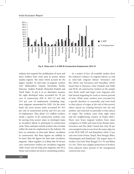

**Fig. 8: State-wise % of SDP & Construction Employment, 2011-12**

industry has required the mobilisation of more and more workers from rural areas in poorer, labour surplus regions. The states which account for the largest number of inter-state in-migrant workers were Maharashtra, Gujarat, Karnataka, Kerala, Haryana, Andhra Pradesh, Himachal Pradesh and Tamil Nadu. To put it in an alternative manner, the eight developed states accounted for 59 per cent of construction SDP in 2011–12 and only 33.9 per cent of employment (including longterm migrants enumerated by NSS). On the other hand, the seven poorer states accounted for 36.2 per cent of construction activity and 59.5 per cent of employment. Thus about 12.5 million workers, nearly a quarter of all construction workers, may be moving from poorer states to developed states as circulatory labour to participate in construction work. These estimates exclude workers who circulate within the state for employment in the industry. We have no estimates of intra-state labour circulation in construction. But these figures are unlikely to be lower than the figures for inter-state circulatory migrants. Taken together, it is likely that 50–60 per cent construction workers are circulatory migrants while 10 per cent are long-term migrants, and 30 to 40 per cent workers are local or commuting workers.

As a matter of fact, all available studies show the industry's reliance on migrant labour, as well as inter-state migrant labour. Srivastava and Jha (2016) and Srivastava and Sutradhar (2016) found that in Haryana, Uttar Pradesh and Delhi and NCR, all construction workers in the sample sites (both small and large) were migrants who had started migrating for work at various periods of time. While some workers were recruited for a specific duration or seasonally, and went back to their places of origin at the end of this period, others stayed on, rotating between one site and another, and returned occasionally to their places of origin. The workers came from eight states and the neighbouring country of Nepal (ibid.). There were fewer migrant workers from states contiguous to Delhi and more from distant states. Srivastava and Jha (ibid.) found that only 28 per cent sampled workers were from the states adjacent to the NCR (MP, UP and Rajasthan) while 72 per cent were from Orissa, Nepal, West Bengal, Bihar, Chhattisgarh and Jharkhand. The largest share of workers was from West Bengal (33.3 %) and Bihar (31.3%). There was a higher proportion of workers from adjacent states present in the unorganised construction sites.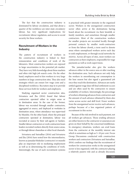The fact that the construction industry is dominated by labour circulation, and that about a quarter of the workforce are inter-state circulatory labour, has very significant implications for recruitment, labour regulation, and access to social security for these workers.

## **Recruitment of Workers in the Industry**

The pattern of recruitment of workers in the construction industry is linked to their remuneration and conditions of work of the labourers. Most construction workers are exposed to large uncertainties in the potential job market. They have very little knowledge about these markets and often risk high job search costs. On the other hand, employers need to hire workers in very large numbers in large construction sites. They also need strategies which can ensure low wage costs and a disciplined workforce. Recruiters step in to provide these services both for workers and employers.

Studying organised sector construction sites, Srivastava and Jha (2016) found that labour contractors operated either in origin areas or in destination areas. In the case of the former, labour was recruited through smaller contractors, aggregated at source, and deployed at worksites in destination areas, where attendance was supervised by Munshis. On the other hand, where the principal contractors operated at destination, labour was recruited at source by their sub-agents or Sardars. Smaller labour contractors or work contractors/team leaders recruited workers directly from source areas, or through labour chaurahas or other local channels.

Srivastava and Sutradhar (2016) and Srivastava and Jha (2016) have noted how the intermediaries, known as jamadar/thekedar(contractor) or munshi play an important role in mediating employment as well as in determining the conditions of work. Interestingly, the use of such recruitment systems

is practised with greater intensity in the organised sector. Workers in the unorganised construction sector often arrive at the destinations having heard about the recruitment via their kinsfolk or family members, and sometimes through smaller contractors. Most of the construction workers for smaller projects are recruited locally through personal contacts by smaller work-contractors or from the labour chowk**,** a term used to denote areas where unemployed workers arrive each day to seek employment, or through social networks by *mistries*. Across all types of sites, most workers see contractors as their employers, responsible for wage payments as well as work supervision.

The jamadar/sardar also give the workers advances either in the source area or after reaching the destination area. Such advances not only help the workers in smoothening out consumption in the lean season but also signal a guaranteed job once they reach the destination. Advances are rarely settled against wage dues till final settlement occurs and are often used by the contractors to ensure availability of workers. Interestingly, the percentage of workers obtaining advances from contractors and the amount of such advance obtained by them also varies across sector and skill level. Fewer workers from the unorganised sector receive such advances, perhaps because of a less organised pattern of recruitment in this sector.

Because of the risk involved in such payment, not all workers get advances. Those availing advances are either known to the contractor or assurances are given on their behalf by the concerned middleman. In emergency situations, workers can avail loans from the contractor at the monthly interest rate which is sometimes as high as 5–10 per cent. Focus Group Discussions conducted with construction workers and contractors (Srivastava and Sutradhar, 2016) confirm our findings that the recruitment of workers for construction works in the unorganised sector is less organised, with the contractor playing a relatively passive role and as already discussed,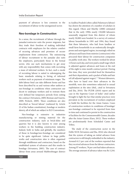payment of advances is less common in the recruitment of labour in the unorganised sector.

#### **Neo-bondage in Construction**

In a sense, the recruitment of labour through the jamadar/contractor suits the poorer migrants, but they trade their freedom of making individual contracts with employers for the relative comfort of securing advances and promises of secure employment from contractors. The outsourcing of labour recruitment to the jamadar also suits the employers, particularly those in the formal sector, who use such mechanisms to get away with any responsibility that comes with recruiting a mass of informal workers. In fact, such a mode of recruiting labour is suited to sidestepping the basic standards relating to hiring of informal workers such as payment of minimum wages. The debt-labour bind can take different forms and has been described by us and various other authors as neo-bondage in conditions when contractors use deceit to underpay workers and to restrain them over defined but temporary periods from exiting the contract (Srivastava, 2009; Breman and Guerin, 2009; Picherit, 2009). These conditions are also described as 'forced labour' (outlawed by Article 23 of the Indian constitution), bondage or modern slavery, all of which are subject to ILO Conventions.

Neo-bondage is extensive in industries manufacturing or mining material for the construction industry, such as brick-kilns and quarries but it is also known to exist among workers in the building construction industry. Indeed, both in India and globally, the numbers of those in bondage/neo-bondage are considered to be quite significant. Labour in large public works and construction sites is often organised through middlemen and contractors, based on the established system of advances and this results in bondage (Srivastava, 2005). The case of contract labour from areas around Mahboobnagar district

in Andhra Pradesh (often called *Palamuuru* labour) has drawn the attention of a number of scholars in this regard. Olson and Murthy (2000) estimated that in the early 1990s nearly 150,000 labourers seasonally migrated from this district of whom nearly 50,000 were bonded. In a survey of contract labour households in 1991 and 1994, they found that these labourers, who hail from landless or small farm households in an endemically droughtprone and unirrigated region, increasingly relied on advances and loans from mistries (contractors) who procured their labour for construction companies on public work sites. The workers worked for about 12 hours each day, and were paid a small wage which is adjusted against advances and loans at the end of the eight to nine month contract period. During this time, they were provided food for themselves and their dependents, and a packet of bidis and hair oil (all adjusted against wages).<sup>1,2</sup> Women labourers, who have to hand over their advances to the menfolk, were also sometimes subjected to sexual exploitation at the sites (ibid., cited in Srivastava and Jha, 2016). The PUDR (2010) report and its case in the Supreme Court of India<sup>3</sup> cited earlier brought to light the fact that similar practices were prevalent in the recruitment of workers employed to build the facilities for the Asian Games. Cases of construction workers in conditions of bondage/ neo-bondage continued to be reported from time to time and continued to persist in the construction of facilities for the Commonwealth Games, decades after the Asian Games (Kara, 2012). These workers are predominantly from Scheduled Castes and Tribes.

The study of the construction sector in the Delhi NCR (Srivastava and Jha, 2016) also showed that the system of taking an initial advance from contractors is still deeply embedded in the industry. Around 61.5 per cent of the workers reported that they received advances from the labour contractors. Among ST workers, 78 per cent had taken advances. The average amount of advance taken was Rs 5,244.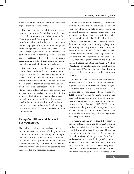A majority (59.3%) of them took these to meet the regular expenses of their family.

The study further delved into the issue of restraints on workers' mobility. About 4 per cent of the workers, mostly tribal workers from Chhattisgarh, said that they would need to clear the debt and advances that they had taken from the present employer before joining a new employer. These findings suggested that while advances were quite widespread, the more serious constraints were confined to a small percentage of the organised sector workforce: those who faced greater deprivation and suffered from greater asymmetry due to higher levels of illiteracy and isolation.

The study also explored the genesis of the contract between the worker and the contractor at origin. It appeared that the increasing demand for construction labour had led to more competition among contractors to mobilise labour and hence also a greater degree of choice with labourers to choose 'good' contractors. Rising levels of literacy, more widespread use of cell-phones, and various forms of workers' organisations in the source or destination areas could also impact on the isolation and lack of information of workers which influences their conditions of employment, but there are few studies that detail the impact of these or other factors or workers' extreme vulnerabilities.

## **Living Conditions and Access to Basic Amenities**

The living conditions of workers and access to entitlements are major challenges in the construction industry. According to a report prepared for the Second National Commission on Labour (2002), production activities in the construction industry take place in the open and therefore workers are exposed to scorching heat, rain, cold, dust and hazardous materials.

Being predominantly migrants, construction workers mostly live in construction sites in temporary shelters, in huts or under canvas, or in rented rooms in shanties which lack basic amenities, sanitation and safe drinking water. In metropolitan cities like Delhi, with high-rise buildings, contractors arrange accommodation for them in camps in the urban periphery, from where they are transported to construction sites. Accommodation and other facilities to be provided to them are regulated by all three legislations: the Contract Labour (Regulation & Abolition) Act, 1970, Interstate Migrant Workmen Act, 1979, and the The Building and Other Construction Workers (Regulation of Employment and Conditions of Service) Act, 1996, but standards laid down by these legislations are rarely met by the contractors/ employers.

Studies also show that a majority of construction workers, both recent urban settlers and seasonal migrants, lack proof of urban citizenship, denying them those entitlements that are available, at least in principle, to poor urban citizens (Srivastava, 2011). Workers' access to health facilities and basic facilities are also very poor and, in any case, treatment costs have to be borne by the labourers (Srivastava, 2011; Borhade, 2012; PUDR, 2010). However, on the positive side, except when they are living in rented accommodation, labourers have accommodation free of charge, thus saving on rent and transportation costs.

Srivastava and Jha (2016) found that about 70 per cent of total workers and 83 per cent of female workers reported that they live in a room/shed provided by employers at the worksite. Fifteen per cent of workers in the sample—16.3 per cent of the male workers and 11.7 per cent of the female workers—live in rooms/sheds provided by the employer which are some miles away from the construction site. This was a particularly visible trend in Delhi where worksites are small in area and contractors house the workers in camps set up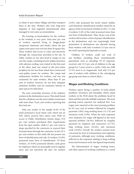in urban or peri-urban villages and then transport them to the sites. Workers who were long-term migrants or had migrated autonomously often managed to rent some accommodation.

The housing accommodation for the workers at the worksite is very poor. Sixty-nine per cent of workers reported living in jhuggi-jhopri (temporary hutments and sheds) where the per capita room space was even less than 50 square feet. These workers had access to water and electricity through the connections provided at the site. In Delhi, workers in two sites lived in camps; in one case the camps, consisting of semi-pukka structures with asbestos roofing, were rented to the firm and, in the other, land was rented in the peri-urban periphery by tier two firms which then constructed semi-pukka rooms for workers. The camps had rudimentary facilities for workers, and one was exclusively for male workers. More than 97 per cent of workers, however, do not have adequate sanitation facilities and use insanitary latrines or open spaces for defecation.

The asset ownership structure of the industry workers at the destinations is poor. This study found that the cell phone was the most widely owned asset with more than 79 per cent workers reporting that they had one.

Only one worker in the sample (0.4% of the total) possessed a local ration card, which was an APL (above poverty line) ration card. With no access to Public Distribution System shops, 93.9 per cent workers purchased their requirements from the open market, while 6.1 per cent went to shops specified by the contractor or sourced their food purchases through the contractor. In fact, 87.2 per cent workers in this study did not possess any form of identification and only 32 workers (12.8%) possessed some form of identification. Of these workers, 24 (9.6%) possessed identity cards given by employers which are principally used to regulate entry and exit into/from the sites. Six workers

(2.4%) only possessed the newly issued Aadhar card (biometric identification number issued by an agency of the Government of India) in 2012–13, and 4 workers (1.6% of the total) possessed more than one form of identification. Thus, 96 per cent of the workers did not have a form of proper identification at the destinations and, not surprisingly, bank penetration at destinations was abysmal among these workers, with only 4 workers (1.6 per cent of the total) reporting having bank accounts.

Children of workers could not avail of any facilities, including those constitutionally guaranteed, such as schooling. Of 43 responses received, only 23.3 per cent of children in the age group 0 to 3 years went to a crèche. Only one child (3.7%) went to an Anganwadi. And only 27.6 per cent of workers with children in the schoolgoing age group sent them to school (ibid.).

#### **Wages and Working Conditions**

Workers report facing a number of work-related problems. Srivastava and Sutradhar (2016) asked workers in the NCR about the problems faced by them and they provide multiple responses. The most pressing reason reported was analysed first. Low wages were reported as the most pressing problem by 65.2 per cent of workers followed by irregular payments (18%), long working hours (11.5 %) and strenuous work (4.9%). When the total responses were analysed, low wages still figured as the most reported problem (36.2%), followed by irregular payments by employer and contractors (27.7%), long working hours (24.4%), and strenuous work (10.6%). Overall, the workers seemed more concerned by level of remuneration and regularity of payments, although poor working conditions, reflected in the responses relating to long working hours and strenuous work, also figured importantly.

The determination of wages, working hours, and other aspects of working conditions is a varied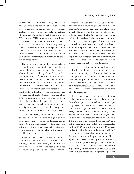exercise, since as discussed earlier, the workers are segmented along patterns of recruitment, and wage offers and bargaining take place between contractors and workers in different settings (Srivastava and Sutradhar, 2016; Srivastava and Jha, 2016; Cessou, 2017). In cases where recruitment takes place in source areas, wages are settled at source, and are more in relation to prevailing labour market conditions in those regions than the labour market conditions at destination. The net result is that at a construction site, wages of workers often differ between migration streams and types of recruitment patterns.

The other dimension is that wages actually received by workers are finally determined by the intermediaries who are their effective employers after deductions made by them. It is hard to determine the exact financial relationship between the final employer and the chain of contractors, and the contractor/sub-contractor at the lowest end of the recruitment/supervision chain and the worker. But in a large number of cases, workers receive wages which are lower than the prevailing minimum wage (Srivastava and Jha, 2016; Srivastava and Sutradhar, 2016). Interestingly however, wages appear to be higher for locally settled and directly recruited workers than for seasonally migrant workers, and are higher for workers in smaller unorganised sector construction projects than in large projects.

Workers are usually paid an amount at the end of a period. Usually, some amount is given to them at the end of each week. But as discussed earlier, final settlements with migrant workers take place at the end of the working season, after adjustment of advances, and this can also be the cause of considerable friction.

Some of the principal aspects of working conditions in the large construction sites in India are long working hours (usually 10 to 14 hours), non-payment of overtime and legally stipulated minimum wages and poor safety conditions

(Srivastava and Sutradhar, 2016). But while nonpayment of minimum wages and overtime and poor safety conditions are widely prevalent across almost all types of sites, they vary in nature across different types of sites. Smaller sites have poorer facilities for workers, including safety conditions. On the other hand, the general working hours on small sites were lower at around eight hours, except where piece-rated and sub-contracted work was involved (van der Loop, 1992; Srivastava and Sutradhar, 2016). The latter study also notes that wages paid for an eight hour work day were higher in the smaller sites compared to larger sites, where organised recruitment processes dominated.

On large construction sites, working hours tend to be usually long, ten to twelve hours, and construction activity could extend 24x7 under flood lights. Srivastava and Jha (2016) found that in their study only about 20.4 per cent of the workers reported to be working for eight hours a day. Almost a similar percentage worked for nine or ten hours a day, while nearly sixty per cent workers worked for 11 or 12 hours a day.

The extraordinarily high intensity of work in these sites was also reflected in the number of days of work per week, as well as per month, put in by the workers. Almost half the workers (49.2%) reported working for all seven days in the reference week, while 43.2 per cent reported working six days a week and 7.6 per cent reported working less than six days in the reference week. Moreover, as many as 27.2 per cent workers reported working all 30 days in the reference month, while 26 per cent reported working 27–29 days in the month, and 36 per cent worked for 25 or 26 days in the month, with 10.8 per cent workers reporting that they had worked for 24 days or less in the previous month (ibid.). Significantly, the work intensity of workers hired by contractors is significantly higher than those hired by firms in terms of working hours (10.4 and 9.8 respectively), but the number of days worked per week and per month was marginally higher for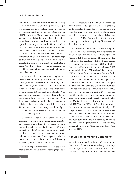directly hired workers, reflecting greater stability in their employment. Overtime payments, as per law, are rare, and total working hours per week are also not regulated as per law. Srivastava and Jha (2016) found that 73.6 per cent workers in their sample reported that they worked overtime, which varied between two to four hours a day depending upon the intensity of the work. Women workers did not prefer to work overtime because of their involvement in household work. About 15 per cent of the workers from Murshidabad were contracted to work for longer work hours on a lump sum wage contract for a fixed period and yet they did not consider the issue of overtime as being applicable to them. All other workers received an overtime rate of 100 per cent rather than the legally stipulated rate of 200 per cent.

As shown earlier, the normal working hours in the construction industry vary from 8 to 12 hours. During this time, Srivastava and Jha (ibid.) found that workers get one break of about an hour for lunch. Breaks for tea vary but about a fifth of the workers report that they had no tea-break. While 23.6 per cent workers reported getting a day off every week, the weekly day off was unpaid. While 94 per cent workers responded that they got public holidays, these were also unpaid in all cases. Workers were not entitled to any other kind of paid leave, whether casual leave, earned leave, sickness leave or maternity leave.

Occupational health and safety are major concerns for workers in the construction industry. In Srivastava and Jha's (2016) study, workers reported cough (18.4%), back pain (19.2%) and exhaustion (10.8%) as the most common health problems. The major causes of occupational health risk that the workers faced were reported to be due to dust particles and pollution (63.9%), followed by accidents (28.4%) and eye strain (4.4%).

Around 82 per cent workers in organised sector sites said that there were some safety signs put up at the sites (Srivastava and Jha, 2016). The firms also provide some safety equipment. Workers generally get to use safety helmets (85.6%) on the sites. The other less used safety equipment are gloves, safety belts (0.4%), earplugs (0.8%), shoes (0.4%) and dust masks (0.4%). On smaller sites, the use of safety equipment is not a priority (Srivastava and Sutradhar, 2016).

The probability of industrial accidents is high in this industry. A careful investigative report prepared by Srinivasan Jain and Sonal Matharu (Jain and Matharu, 2017) showed that in 24 cities alone, 452 workers died in accidents, while 212 were injured on construction sites between 2013 and 2016. Based on NGO sources, the report estimated 1,092 accidental deaths and 377 workers injured between 2013 and 2016. In a submission before the Delhi High Court in 2010, the DMRC admitted to 109 fatalities in its activities. No details of compensation paid were available in nine cases. In another report made to the Lok Sabha, the Government admitted to 65 accidents causing 35 fatalities in four DMRC projects occurring between 2013 to 2016. Patel and Jha (2016), after perusing a number of sources on accidents in the construction sector, have estimated that 276 fatalities occurred in the industry in the Delhi NCT during 2008 to 2012, while they estimate that the number of fatal casualties nationally could range between 11,614 and 22,080 between these years. In field studies, workers have recounted incidents of fatal accidents during interviews which had been dealt with quite summarily by employers and firms, with no protocol in place, and no policy or legislation covering these accidents (Srivastava and Jha, 2016).

### **Regulation of Working Conditions**

As we have discussed in the introductory part of this chapter, the construction industry has a large formal segment, and the concentration of capital has increased significantly in the last decades. But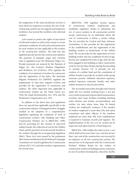the assignment of the main production activity to sites which are temporary in nature, the use of subcontracting, and the use of a migrant and temporary workforce, has turned this workforce into informal workers.

Laws meant to protect the rights of association of informal workers as well as laws meant to secure minimum conditions of work and social protection for such workers are also applicable to the workers in the construction industry. The state has also legislated specific laws for the construction industry. The payment of adequate wages and overtime rates is regulated as per the Minimum Wages Act. Prompt payments are ensured by the Payment of Wages Act. The Contract Workers (Regulation and Abolition) Act (CLRAA), 1970, regulates the condition of recruitment of workers by contractors and the registration of the latter. The Interstate Migrant Workmen's Act (ISMWA) regulates the employment of inter-state migrant workers and provides for the registration of contractors and workers. The other important laws applicable to construction workers are the Trade Union Act, 1926; the Equal Remuneration Act, 1976; and the Workmen's Compensation Act, 1923.

In addition to the above laws and regulations there are special laws applicable specifically to the construction industry. Prolonged workers' struggles resulted in the adoption of a comprehensive legislation regulating the conditions of work of Construction workers (The Building and Other Construction Workers Act or B&OCWA, 1996) and for providing for the creation of state-level welfare boards, the collection of cess for the Welfare Fund, and the payment of social security benefits to the workers through the accompanying legislation (ibid.). These Acts were passed by the parliament after intense mobilisation by the National Campaign Committee on Central Legislation for Construction Labour (NCC-CL) and other workers' organisations for several years.

B&OCWA, 1996 regulates various aspects of construction workers' employment and establishes regulatory bodies to administer the Act. It covers workers in all construction activity except construction by an individual where the cost of construction is below a certain ceiling. The Act provides for Central and State Advisory Committees. It also provides for the registration of the establishment and the registration of the building workers as beneficiaries of the welfare fund. The Act provides for the registration of every building worker who has completed 18 years of age, but has not completed 60 years of age, and who has been engaged in any building or other construction work for not less than 90 days during the preceding 12 months (Section 12). It provides for the creation of a welfare fund and the constitution of welfare boards to provide for accident relief, group insurance premia, children's education expenses, medical expenses, maternity benefit, and other welfare measures as may be prescribed.

The Act further prescribes through rules framed under the Act: normal working hours; a rest day every week on payment of prescribed remuneration; overtime rates; basic facilities including drinking water, latrines and urinals, accommodation and crèches (on sites where more than 50 female workers are employed); canteens, if the number of workers employed is more than 250; and safety committees and safety officers, if the numbers employed are more than 500. Each establishment is required to maintain records and registers. The implementation of the Act is to be carried out by inspectors and supervised by a Chief Inspector.

B&OCWA, 1996 enables the states to levy a cess which shall not be more than 2 per cent but not less than 1 per cent of the construction cost incurred by an employer on all new construction activity. The amount has to be deposited with the Construction Workers' Welfare Board for the welfare of construction workers including pensions, assistance in case of accident, housing loan, education, health,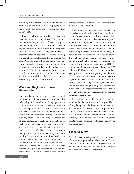and safety of the workers and their families, and is applicable to the establishment employing 10 or more workers and to the project costing more than Rs 10,00,000.

There is clearly an overlap between the Contract Labour Act, 1970, B&OCWA, 1996, and the Interstate Migrant Workers' Act, 1970, given the preponderance of contractors and interstate migrant workers in the construction industry, with each of these legislations having requirements of different types of registrations, record keeping, and compliance mechanisms. But in practice, the B&OCWA has emerged as the main regulatory law for the sector. However, implementation of the various provisions of this as well as other Acts is very weak. Proactive regulation by the state seems virtually non-existent in the industry. Srivastava and Jha (2016) find that only 3.3 per cent workers knew of inspections at their worksite.

### **Weak and Regionally Uneven Unionisation**

Poor regulation is also the result of weak unionisation of construction workers. The informality of the conditions of employment, the conditions of isolation under which they work, the fear of being thrown out of a job, on the one hand, and the inaccessibility of the workplaces, combined with its temporary nature in any single location and even city or state, results in a very low penetration of trade unions. Large-scale union federations are relatively less interested in organising construction workers because of the difficulties in doing so (van der Loop, 1992). The activities of unions are mainly restricted to the more sedentary or the more privileged segment of this workforce (Vaid, 1999; also Srivastava and Jha, 2016). Undoubtedly, a number of unions like the SEWA union, the Nirman Mazdoor Panchayat, IFTU, and several others have focused on organising construction workers, but these efforts have only touched a small number

of these workers at a national level. Moreover, the picture is regionally varied.

Trade union membership, filed annually by the registered trade unions, and published by the Labour Bureau in India provide one source of data on unionsation. In 2002, only 430 unions reported a total membership of 5.6 lakhs. In 2012, only 281 unions provided returns, but the total membership reported was 1.2 million. The number of states and unions filing returns varies from year to year, and hence no firm conclusion on trends can be drawn. The National Sample Survey on Employment-Unemployment also solicits a question on membership of unions/associations. In 2011–12, our estimate based on responses shows that 5.33 million or 10.68 per cent of the construction workers gave positive responses regarding membership of any association or union. This percentage was higher in the major southern states, in states with a strong left movement or government, and in Punjab. We do not have enough fine-grained studies that can tell us how the higher membership of collective associations has impacted recruitment or working conditions in some states.

The upsurge in capital in the sector, the withdrawal of the state from virtually any semblance of regulating capital-labour relations, and the low presence of worker's collective organisations, tilts the balance firmly in favour of large capital in determining labour market outcomes in the industry, and the importance of establishing some countervailing bargaining strength cannot be underestimated.

### **Social Security**

Given the harsh working conditions, temporariness of employment, poor safety and occupational health status of construction workers, it is germane to ask whether, and to what extent, construction workers have recourse to formal social security.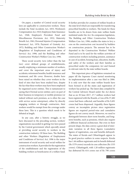On paper, a number of Central social security laws are applicable to construction workers. These include the Fatal Accidents Act, 1855; Workmen's Compensation Act, 1923; Employees State Insurance Act, 1948; Employee's Provident Fund and Miscellaneous Provisions Act, 1952; Maternity Benefit Act, 1961; Personal Injuries (Compensation Insurance) Act, 1970; Payment of Gratuity Act, 1972; Building and Other Construction Worker's (Regulation of Employment and Conditions of Service) Act, 1996; and the Building and other Construction Worker's Welfare Cess Act, 1996.

These social security Acts (other than the last two) cover defined groups of establishments, usually employing a minimum number of workers, and cover the important areas of injury and accidents; retirement benefits; health insurance and treatment; and life cover. However, doubts have been raised on whether they cover workers in the kind of sites that have been studied here, despite the fact that these workers may have been employed by organised sector entities. This is tantamount to saying that if formal sector entities carry on part of their business in temporary or mobile premises (or indeed without such premises, as is often the case with service sector enterprises), either by directly engaging workers or through contractors, their workers would be exempt from the coverage under these laws. This is a question which needs to be debated at length.

In any case, after a historic struggle, as we have discussed in the preceding section, workers' organisations succeeded in getting two laws passed by the Central government which specially aimed at providing social security to workers in the construction industry. Of these laws, The Building and other Workers (Regulation of Employment and Conditions of Service) Act, 1996 is the major instrument of social security and social welfare for construction workers. It provides for the registration of the establishment and the registration of the building workers as beneficiaries of a welfare fund.

It further provides for creation of welfare boards at the state level which are responsible for transferring prescribed benefits to workers. The funds for these benefits are to be drawn from state welfare funds instituted under the Act. Its companion legislation, The Building and Other Construction Workers Welfare Cess Act, 1996, enables the states to levy a cess on the construction cost incurred by builders on construction projects. The amount has to be deposited in the Construction Workers' Welfare Fund and is to be used for the welfare activities of construction workers including pension, assistance in case of accident, housing loan, education, health, and safety of the workers and their families as prescribed under the companion Act and framed in relevant rules by the state welfare boards.

This important piece of legislation remained on paper till the Supreme Court started monitoring its implementation after a case was filed in 2006. It is only now that the state welfare boards have been formed in all the states and registration of workers has picked up. The latest data compiled by the Central Advisory Board under the Act shows that as on 30 June 2017, 27.7 million workers had been registered with the Boards, a Cess of Rs 37,482 crores had been collected, and benefits of Rs 9,491 crores had been dispensed. Arguably, these figures convey an incomplete picture since registration figures are required period-wise and cumulative figures do not convey much. Moreover, we need to distinguish between short-term benefits, and longterm benefits, such as pensions, which also require a different financial architecture. But even in their present shape, the data convey a great deal of interstate variation in all three figures (cumulative figures of registration, cess and benefits defrayed). The states of Kerala and Chharttisgarh appear to be good practice outliers in some respects. Kerala has 1.46 million registrants and its benefit disbursal (Rs 1579 crores) exceeds its cess collection (Rs 1535 crores). Chhattisgarh, with 1.20 million registrants has disbursed Rs 614 crores out of Rs 798 crores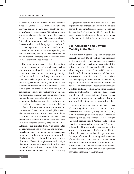collected by it. On the other hand, the developed states of Gujarat, Maharashtra, Karnataka and Haryana appear to have done poorly on most fronts. Gujarat registered only 0.57 million workers and collected a cess of Rs 1690 crores, of which only 5 per cent was expended. Maharashtra registered 0.61 million workers and collected a cess of Rs 5,483 crores but provided only 7 per cent as benefit. Haryana registered 0.70 million workers and collected a cess of Rs 1,973 crores, spending 10.6 per cent as benefit, while Karnataka registered 1.16 million workers, spending only 21 per cent of the Rs 4,375 crores collected by it as cess.

The poor performance of the Boards is a combined consequence of several issues: lack of administrative and political will, administrative constraints, and most importantly, design weaknesses in the Acts. Although these twin Acts have extremely important consequences both for the regulation of working conditions of the construction workers and for their social security, it is a germane point whether they are suitably designed for construction workers who are migrant and mobile, and who may also take up employment in more than one sector. Registration of workers on a continuing basis remains a pitfall in the scheme. Although several states have taken the help of certified trade unions and other organisations, this has increased the registration of ineligible workers. The more serious issues are due to worker mobility, within and across the borders of the state. Since the scheme is compartmentalised at the state level, inter-state migrant workers, who are the most vulnerable, are excluded from it in most states. Re-registration is also a problem. The coverage of the scheme remains higher among more sedentary urban or peri-urban workers, a higher proportion of whom are likely to be skilled and/or members of unions. Electronic registration with unique identifiers can provide a better database, but issues of identification and inter-state portability remain more intractable problems. It is not surprising

that grassroots surveys find little evidence of the implementation of these Acts. Another major issue now is the implementation of the new Goods and Services Tax (GST) since July 2017. Since the tax covers the construction sector, the cess levied under the Welfare Act is likely to be eventually phased out.

# **Skill Acquisition and Upward Mobility in the Sector**

Skills are closely related to the possibility of upward occupational mobility of workers. The expansion of the construction industry and the increasing technological sophistication of segments of the industry has raised the demand for skilled workers whose wages are higher than unskilled workers. Results of field studies (Srivastava and Jha, 2016; Srivastava and Sutradhar, 2016; Jha, 2017) show that the majority of skilled workers in the industry acquire their skill in the process of working as helpers to skilled workers. Those workers who work as helpers to skilled workers have a better chance of acquiring skills on the job, and since such jobs are more likely to be segmented along lines of gender and social networks, some groups have a distinctly lower possibility of moving up by acquiring skills.

When workers were asked about their chances of acquiring skills (Srivastava and Jha, 2016; Srivastava and Sutradhar, 2016; Jha, 2017), only a small percentage of workers saw a chance of becoming skilled. No woman worker thought she could become skilled. General caste workers rated their chances as the highest and ST workers, followed by SC workers rated their chances as the lowest. The Government of India supported by the industry has taken a number of steps to increase the scope of formal skill training and placement of trained workers. But as Jha (2017) shows, issues such as the opportunity cost of training and the informal nature of the labour market, dominated by labour contractors, have proven to be significant barriers in expanding formal training.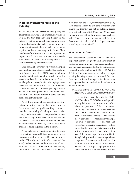# **More on Women Workers in the Industry**

As we have shown earlier in this paper, the construction industry is an important avenue for women, but they face increasing barriers in the industry. First, as we have shown, women workers are unskilled and unlike male labourers, women in the construction sector have virtually no chances of acquiring skills and moving up the job ladder. There have been efforts by unions and other organisations to provide skills to women in states such as Kerala, Tamil Nadu and Gujarat, but the acceptance of such women workers by employers is low.

Even as unskilled workers, they are usually paid even less than the male migrants. Further, as shown by Srivastava and Jha (2016), large employers, including public sector employers avoid employing women workers for two other reasons. First, to avoid regulatory oversight, since the employment of women workers requires the provision of required facilities for them and for accompanying children. Second, employers prefer male only employment due to the 24x7 nature of work in some sites, and the housing of workers in camps.

Apart from issues of segmentation, discrimination etc. in the labour market, women workers face a number of other problems. They continue to have the responsibility of cooking and looking after young children who often accompany them to sites. The sites usually do not have crèche facilities nor do they have basic facilities such as separate toilets. As mechanisation increases, women have fewer chances of being employed in the industry.

A separate set of questions relating to social reproduction responsibilities, autonomy, sexual harassment and abuse was addressed to women in the NCR study cited earlier (Srivastava and Jha, 2016). When women workers were asked who kept their wages, a little less than half (49.8%) reported that they kept their own wages while in

more than half the cases, their wages were kept by their spouses. About 15 per cent of women with infants said that they did not get sufficient breaks to breastfeed their child. More than 61 per cent women workers did not have access to an enclosed toilet. Fifty per cent of the women said that they faced domestic violence while 11.7 per cent were not willing to answer (ibid.).

### **What can be Done?**

The construction sector is one of the most important drivers of growth and investment in the Indian economy, one of the largest employers, and singularly responsible for the diversification of the rural workforce observed till 2011–12. Yet, the deficits in labour standards in this industry are eyeopening. Drawing from our previous work,<sup>4</sup> we have therefore put forward an agenda for decent work and improved labour standards in the industry for wider discussion:

### *1) Harmonisation of Certain Labour Laws Applicable to Construction Industry Workers.*

There are three major laws viz. the CLRA, ISMWA and the B&OCWWA which provide for regulation of conditions of work of the labourers, provision of basic amenities, and safety and health. All these laws are applicable to construction labourers and have considerable overlap. They require the registration of establishment/principal employer, registration of contractors, and registration of specific categories of workers covered under these laws. But a close scrutiny of these laws reveals that not only do they have different coverage, they also differ in fixing liability as well as in defining different categories of employers and workers. For example, the CLRA makes a distinction between the principal employer and the contractor, as also does the ISMW. But the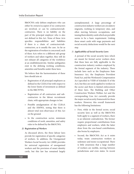B&OCWA only defines employers who can either be owners/occupiers if no contractors are involved, or can be contractors/subcontractors. There is no liability on the part of the principal employer who is also not defined in this Act. None of these Acts specifies responsibilities and liabilities if there is a chain of contractors/subcontractors, as is usually the case. As far as the registration of workers is concerned, each of these Acts refers to a different sub-group of workers and taken together, they still do not exhaust all categories of the workforce at an establishment/site. Similar ambiguities exist in the defining working conditions, amenities and benefits under these laws.

We believe that the harmonisation of these laws should aim at:

- Registration of all principal employers as defined in the CLRAA but with respect to the lower limits of investment as defined in the B&CWWA.
- • Registration of all contractors and subcontractors in the labour recruitment chain, with appropriate changes in law.
- • Possible amalgamation of the CLRAA and the ISMWA, noting that there is almost total non-observance of this Act on the ground.
- • In the construction sector, minimum conditions of work, amenities, and safety rules to be defined by the B&OCWA.

#### *2) Registration of Workers*

As discussed above, the three labour laws provide for registration of specific categories of workers. In addition, the Unorganised Workers Social Security Act (2008) provides for universal registration of unorganised workers and the provision of smart identity cards, but this law has remained largely unimplemented. A large percentage of construction industry workers are circulatory migrants, working in temporary sites, and often moving between occupations, and issuing them identity cards which are portable seems to be a basic requirement. Linking these smart cards with wage payments and social security deductions would be the next step.

#### *3) Applicability of Social Security Law***s**

A perusal of the social security laws which are meant for formal sector workers show that these laws are fully applicable to the construction industry workers employed by the formal segment of the industry. These include laws such as the Employees State Insurance Act, the Employees Provident Fund Act, and the Workmen's Compensation Act (specified in VIIIB of Schedule II of the Act), but they are rarely applied to workers in the sector and there is limited enforcement of these laws. The Building and Other Construction Workers Welfare Act and the corresponding Cess Act currently provide the major social security framework for these workers. However, this overall framework has the following limitations:

- • First, while in the formal sector, social security laws as well as the B&OCWA both apply to a segment of workers, there is an inherent contradiction. The former require proportional contributions from employers and workers, while the latter draw from the cess-based contributions, also borne by employers.
- • Second, the B&OCWA Act as it exists today, treats construction workers as sedentary and mono-occupational. There is little awareness that a large number of workers are mobile, moving between jurisdictions and even states. In recent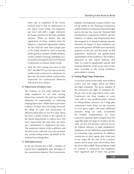years, due to expansion of the sector, workers tend to stay in employment in one place (some being non-migratory any way), and with a single contractor for longer periods but the basic problem remains. While we believe that the registration of these workers must be linked to a universal registration system, we also hold the view that a larger part of the funds should be used to provide public goods to workers (health facilities, crèches, shelters, housing, upskilling, etc.) as was also envisaged by the First National Commission on Labour Study Group.

With the GST coming into force in July 2017, the B&CW Cess Act may come into conflict with it and may be withdrawn. In that case, the entire central social security framework for construction labourers will need to be re-drawn.

#### *4) Enforcement of Labour Laws*

The evidence in this study indicates that while employers do not take existing labour laws seriously, the state has virtually abdicated its responsibility in enforcing existing labour laws. While there is pervasive evidence of these laws not being observed, the filing of cases and prosecution of offenders takes place in very few cases. There has been a steady erosion in the capacity of the labour departments to enforce laws, but more importantly the state does not show any commitment to implement the laws. The temporary nature of the workforce and the lack of any collective voice also prevents any countervailing action on behalf of the workers from taking place.

#### *5) Skill Improvement*

In the last decade and a half, a number of reports have highlighted skill shortages in the construction industry. The Construction

Industry Development Council (CIDC) was set up jointly by the Planning Commission and the Industry to respond to these shortages and in the last few years the National Skill Development Corporation (NSDC) and the Ministry of Labour and Employment have also stepped in to expand training capacity. However, no impact of these initiatives was seen on the ground. All skills were reportedly acquired on the job, and this mode of skill acquisition reinforced the gender-based segmentation of the workforce. The evidence presented in this report indicates that there is a need to significantly upscale skill training initiatives in the sector and to make these accessible to the young workforce, particularly to women.

#### *6) Ending Illegal Wage Deductions*

As we have noted in this study, most workers receive very low wages, which are below the legal minimum. The gross margins of the contractors are high: an estimated 30– 40 per cent of the wage bill in some cases. Contractors use these margins to cover costs and to earn profits/incomes. Instead of setting labour contracts on a wage plus commission basis, firms set up contracts to cover gross wages, with some additional amounts being set aside occasionally for workers' transportation, etc. Since contractors generate these margins from the wage bill, paid-out wages to workers are low (they are also low because contracts are set up without reference to legal stipulations). Employers do not fulfil their responsibilities of overseeing wage payments. In addition, contractors or their agents also retain part of the wages till the end of the contract/ season and in many cases, the workers' dues are never fully settled. These problems could be reduced if contractors and employers were registered and if there was greater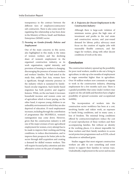transparency in the contract between the different tiers of employers/contractors/ sub-contractors. There is also some need for regulating this relationship as has been done in the Ministry of Micro, Small and Medium Enterprises (MSME) sector.

### *7) Focusing on Gender-friendly Policies and Employment*

One of the main concerns in this sector, also highlighted in this study, is the status of women workers and the declining share of women's employment in the organised construction industry, as its work organisation, capital intensity, and provision of housing to workers is changing, discouraging the presence of women workers and workers' families. We had noted in the study that, unlike East Asia, women have a significant, though minority presence in the industry which is sustained by familybased circular migration. Such family-based migration has both positive and negative features. While, on the one hand, it increases household incomes and women come out of agriculture which is lower paying, on the other hand, it exposes young children to an unhealthy environment in which they are also deprived of education. If rural employment increases, including through the contribution of programmes like MGNREGA, women's outmigration may come down. However, given that the construction industry is still one of the major avenues of non-agricultural employment for women, every attempt has to be made to improve their working and living conditions, to reduce discrimination, and to improve their prospects for better jobs in the sector through skill acquisition and creating a demand for skilled women workers. This will require focused policy attention and also affirmative action on the part of employers.

### *8) A Trajectory for Decent Employment in the Construction Industry*

Although there is large-scale violation of minimum norms, given the high rates of investment and profits in the real estate and construction sectors, and year-round demand for labour, policy advocacy must focus on the creation of regular jobs with reasonably flexible contracts, and fair wages for workers, along with other decent conditions of work at the sites.

### **Conclusion**

The construction industry opened up the possibility for poor rural workers, unable to eke out a living in agriculture, to take up a few months of employment at wages somewhat higher than in agriculture. Over 50 million workers now commute or migrate to work in the construction industry, obtaining employment for a few months each year. There is a graded possibility that some (male) workers may acquire on-the-job skills and therefore have a higher possibility of upward economic and occupational mobility.

The incorporation of workers into the construction sector workforce has been at a cost, involving harder and riskier work, an exposure to harsh living conditions, and in many cases, a loss of freedom. The minimal living conditions offered by contractors/employers reduce the cost of social reproduction of these workers and their accompanying families. But without an identity at the working places, it is almost impossible for these workers and their family members to access social protection programmes such as ICDS, school education or subsidised grain.

Studies suggest that most migrant construction workers are able to save something and remit money to support their families in various ways. Undoubtedly, employment in the sector and income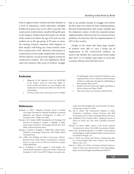from it supports these workers and their families at a level of subsistence which alternative available livelihood systems may not be able to provide. But construction workers have a small working life span in the industry. Studies show that nearly two-thirds of the workers are below the age of 30 and very few workers are in the age group of 50 years or more. No existing research examines what happens to their family's well-being once these workers retire from construction work. Moreover, fluctuations in construction activity make employment uncertain. All this calls for a social security support system for construction workers. The twin legislations which came into existence after years of workers' struggle

had to see another decade of struggle even before the first steps were taken for their implementation. But lack of administrative will, worker mobility and the temporary nature of jobs has impeded proper implementation. Moreover the Cess-based Acts face problems of extinction with the implementation of GST in the country.

Finally, to the extent that these large number of workers were able to coax a living out of employment in the construction industry, we need to ask whether the construction boom ended after 2012–13 or whether steps taken to revive the economy will put some life back into it.

### **Endnotes**

- 1. Judgment of the Supreme Court on 18/09/1982 in the *People's Union for Democratic Rights* vs. *Union of India and Others*, in a case relating to the employment of construction labour for sites for the Asiad Games.
- 2. In Parry's study of the construction sector in Bhilai

in Chhattisgarh, where mainly local labourers were employed, there were no advances and the tying in of labour is solely done through the withholding of their payment (Parry, 2014).

- 3. People's Union for Democratic Rights and Others vs Union of India and Others (1982).
- This section draws on Srivastava and Jha (2016).

#### **References**

- Borhade, A. (2012). 'Migrants (Denied) Access to Health Care', Paper Presented at National Workshop on Internal Migration and Human Development in India, 6–7 December 2011, ICSSR, New Delhi.
- Breman, J. & I. Guérin. (2009). Introduction: On bondage: Old and New. In Breman, J., Guérin, I., Prakash, A. (Eds), *India's Unfree Workforce: On Bondage Old and New*. New Delhi: Oxford University Press.
- Breman, J., Guérin, I., Prakash, A. (2009) (Eds). *India's Unfree Workforce. On Bondage Old and New*. New Delhi: Oxford University Press.
- GoI. (1996). *The Building and Other Construction Workers.* Retrieved from Chief Labour Commissioner (Central): https://clc.gov.in/clc/clcold/Acts/shtm/bocw.php# CHAPTER%20III
- Jain, S., & Matharu, S. (2017, August 5). *Fatal Heights: The Untold Deaths Of India's Construction Workers.* Retrieved December 12, 2017, from NDTV: https://www.ndtv.com/

india-news/fatal-heights-the-untold-deaths-of-indiasconstruction-workers-1733974

- Jha, Ajit K. (2016). The Construction Industry in India: Production Conditions, Labour Practices and Skill Development. Ph.D. Thesis. Jawaharlal Nehru University.
- Kara, Siddharth (2012). *Bonded Labor: Tackling the System of Slavery in South Asia*. New York: Columbia University Press.
- Ministry of Labour (2002). *Report of the Second National Commission on Labour.* New Delhi: Government of India.
- Olsen, W. K., & Ramana Murthy, R. V. (2000). Contract labour and Bondage in Andhra Pradesh (India). *Journal of Social and Political Thought*, *1*(2).
- Parry, J. (2014). Sex, Bricks and Mortar: Constructing Class in a Central Indian Steel Town. *Modern Asian Studies*, *48*(05), 1242–1275.
- Patel, D. A., & Jha, N. K. (2016). *An Estimate of Fatal Accidents in Indian Construction.* Retrieved 2017, from Researchgate: https://www.researchgate.net/publication/3081555